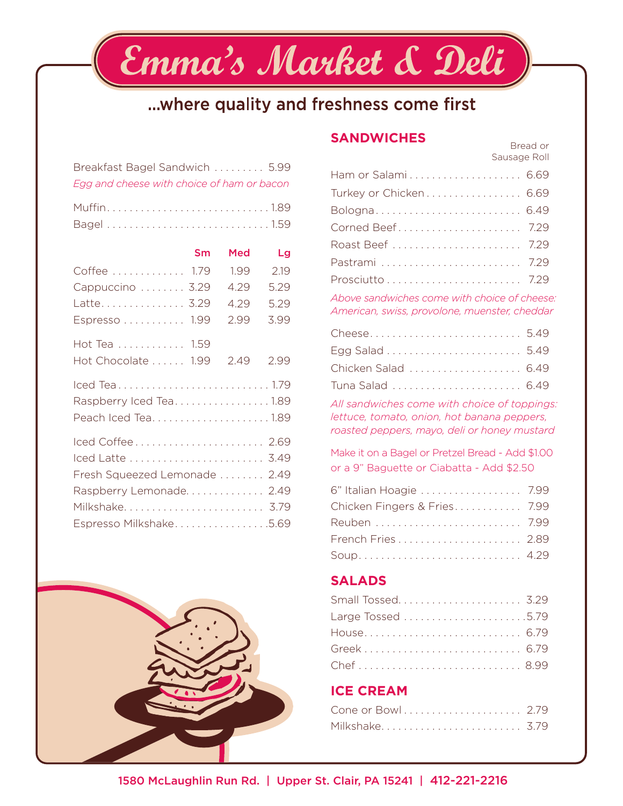## ...where quality and freshness come first

Emma's Market & Deli

| Breakfast Bagel Sandwich  5.99             |  |
|--------------------------------------------|--|
| Egg and cheese with choice of ham or bacon |  |

|                               | Sm | Med  | Lg   |
|-------------------------------|----|------|------|
| Coffee  1.79                  |    | 1.99 | 2.19 |
| Cappuccino  3.29              |    | 4.29 | 5.29 |
| Latte 3.29                    |    | 4.29 | 5.29 |
| Espresso 1.99                 |    | 2.99 | 3.99 |
| Hot Tea 1.59                  |    |      |      |
| Hot Chocolate 1.99            |    | 2.49 | 2.99 |
| Iced Tea1.79                  |    |      |      |
| Raspberry Iced Tea1.89        |    |      |      |
| Peach Iced Tea1.89            |    |      |      |
| Iced Coffee 2.69              |    |      |      |
| Iced Latte  3.49              |    |      |      |
| Fresh Squeezed Lemonade  2.49 |    |      |      |
| Raspberry Lemonade 2.49       |    |      |      |
| Milkshake 3.79                |    |      |      |
| Espresso Milkshake5.69        |    |      |      |



### **SANDWICHES** Bread or

Sausage Roll

| Ham or Salami 6.69     |  |
|------------------------|--|
| Turkey or Chicken 6.69 |  |
| Bologna 6.49           |  |
|                        |  |
| Roast Beef  7.29       |  |
| Pastrami  7.29         |  |
|                        |  |

*Above sandwiches come with choice of cheese: American, swiss, provolone, muenster, cheddar*

| Cheese 5.49         |
|---------------------|
|                     |
| Chicken Salad  6.49 |
|                     |
|                     |

*All sandwiches come with choice of toppings: lettuce, tomato, onion, hot banana peppers, roasted peppers, mayo, deli or honey mustard*

Make it on a Bagel or Pretzel Bread - Add \$1.00 or a 9" Baguette or Ciabatta - Add \$2.50

| 6" Italian Hoagie  7.99      |  |
|------------------------------|--|
| Chicken Fingers & Fries 7.99 |  |
| Reuben  7.99                 |  |
|                              |  |
|                              |  |

#### **SALADS**

| House 6.79 |  |
|------------|--|
| Greek 6.79 |  |
|            |  |

#### **ICE CREAM**

| Cone or Bowl 2.79 |  |  |  |  |  |  |  |  |  |  |  |
|-------------------|--|--|--|--|--|--|--|--|--|--|--|
| Milkshake 3.79    |  |  |  |  |  |  |  |  |  |  |  |